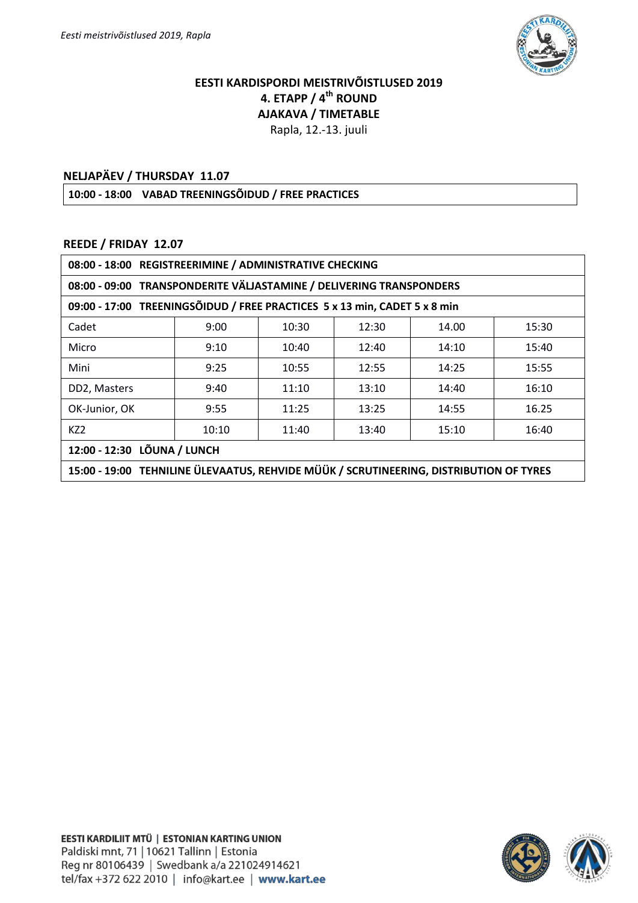

## **EESTI KARDISPORDI MEISTRIVÕISTLUSED 2019 4. ETAPP / 4th ROUND AJAKAVA / TIMETABLE**

Rapla, 12.-13. juuli

## **NELJAPÄEV / THURSDAY 11.07**

**10:00 - 18:00 VABAD TREENINGSÕIDUD / FREE PRACTICES**

## **REEDE / FRIDAY 12.07**

| 08:00 - 18:00 REGISTREERIMINE / ADMINISTRATIVE CHECKING                                |       |       |       |       |       |  |  |
|----------------------------------------------------------------------------------------|-------|-------|-------|-------|-------|--|--|
| 08:00 - 09:00 TRANSPONDERITE VÄLJASTAMINE / DELIVERING TRANSPONDERS                    |       |       |       |       |       |  |  |
| 09:00 - 17:00 TREENINGSÕIDUD / FREE PRACTICES 5 x 13 min, CADET 5 x 8 min              |       |       |       |       |       |  |  |
| Cadet                                                                                  | 9:00  | 10:30 | 12:30 | 14.00 | 15:30 |  |  |
| Micro                                                                                  | 9:10  | 10:40 | 12:40 | 14:10 | 15:40 |  |  |
| Mini                                                                                   | 9:25  | 10:55 | 12:55 | 14:25 | 15:55 |  |  |
| DD2, Masters                                                                           | 9:40  | 11:10 | 13:10 | 14:40 | 16:10 |  |  |
| OK-Junior, OK                                                                          | 9:55  | 11:25 | 13:25 | 14:55 | 16.25 |  |  |
| KZ <sub>2</sub>                                                                        | 10:10 | 11:40 | 13:40 | 15:10 | 16:40 |  |  |
| 12:00 - 12:30 LÕUNA / LUNCH                                                            |       |       |       |       |       |  |  |
| 15:00 - 19:00 TEHNILINE ÜLEVAATUS, REHVIDE MÜÜK / SCRUTINEERING, DISTRIBUTION OF TYRES |       |       |       |       |       |  |  |